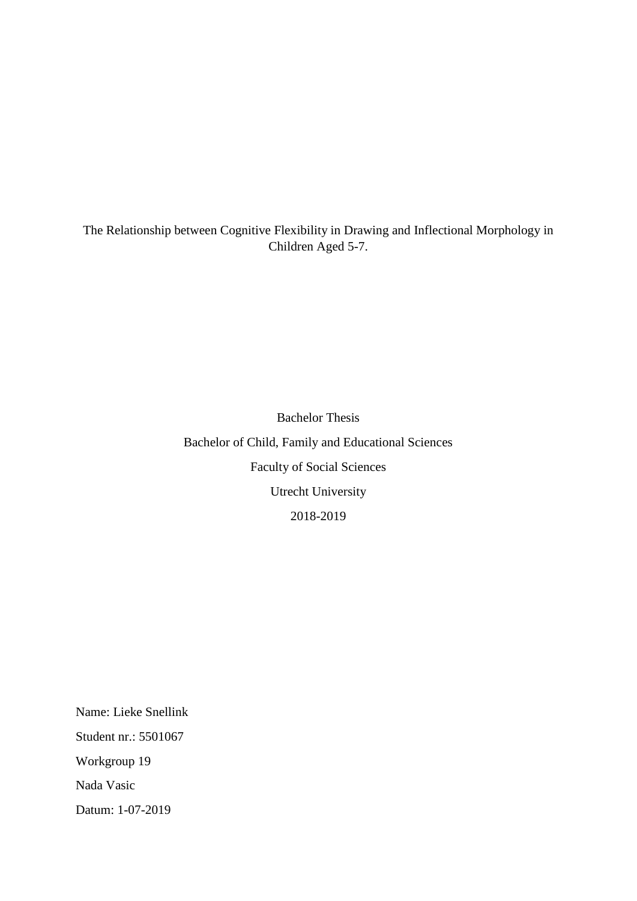The Relationship between Cognitive Flexibility in Drawing and Inflectional Morphology in Children Aged 5-7.

> Bachelor Thesis Bachelor of Child, Family and Educational Sciences Faculty of Social Sciences Utrecht University 2018-2019

Name: Lieke Snellink Student nr.: 5501067 Workgroup 19 Nada Vasic Datum: 1-07-2019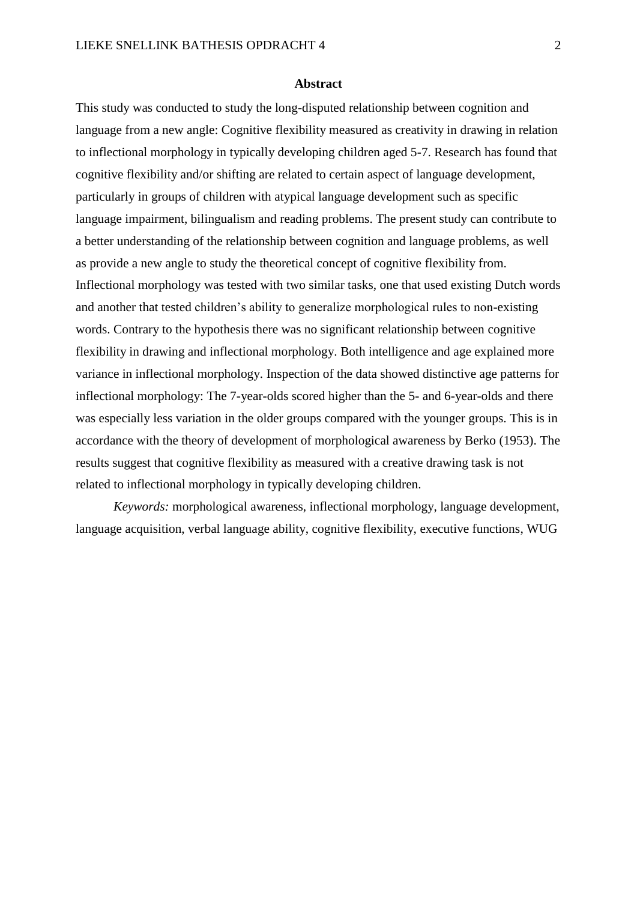#### **Abstract**

This study was conducted to study the long-disputed relationship between cognition and language from a new angle: Cognitive flexibility measured as creativity in drawing in relation to inflectional morphology in typically developing children aged 5-7. Research has found that cognitive flexibility and/or shifting are related to certain aspect of language development, particularly in groups of children with atypical language development such as specific language impairment, bilingualism and reading problems. The present study can contribute to a better understanding of the relationship between cognition and language problems, as well as provide a new angle to study the theoretical concept of cognitive flexibility from. Inflectional morphology was tested with two similar tasks, one that used existing Dutch words and another that tested children's ability to generalize morphological rules to non-existing words. Contrary to the hypothesis there was no significant relationship between cognitive flexibility in drawing and inflectional morphology. Both intelligence and age explained more variance in inflectional morphology. Inspection of the data showed distinctive age patterns for inflectional morphology: The 7-year-olds scored higher than the 5- and 6-year-olds and there was especially less variation in the older groups compared with the younger groups. This is in accordance with the theory of development of morphological awareness by Berko (1953). The results suggest that cognitive flexibility as measured with a creative drawing task is not related to inflectional morphology in typically developing children.

*Keywords:* morphological awareness, inflectional morphology, language development, language acquisition, verbal language ability, cognitive flexibility, executive functions, WUG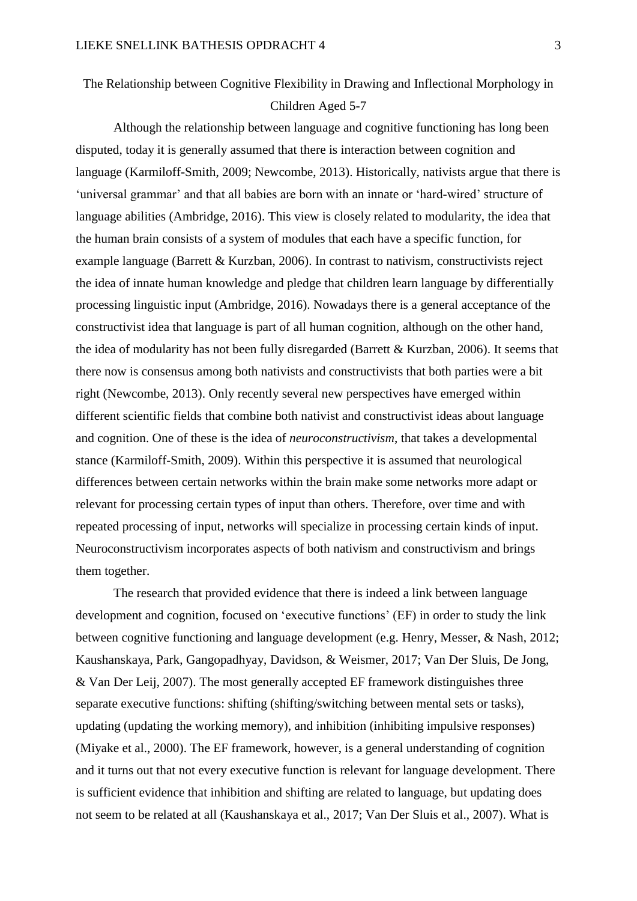# The Relationship between Cognitive Flexibility in Drawing and Inflectional Morphology in Children Aged 5-7

Although the relationship between language and cognitive functioning has long been disputed, today it is generally assumed that there is interaction between cognition and language (Karmiloff-Smith, 2009; Newcombe, 2013). Historically, nativists argue that there is 'universal grammar' and that all babies are born with an innate or 'hard-wired' structure of language abilities (Ambridge, 2016). This view is closely related to modularity, the idea that the human brain consists of a system of modules that each have a specific function, for example language (Barrett & Kurzban, 2006). In contrast to nativism, constructivists reject the idea of innate human knowledge and pledge that children learn language by differentially processing linguistic input (Ambridge, 2016). Nowadays there is a general acceptance of the constructivist idea that language is part of all human cognition, although on the other hand, the idea of modularity has not been fully disregarded (Barrett & Kurzban, 2006). It seems that there now is consensus among both nativists and constructivists that both parties were a bit right (Newcombe, 2013). Only recently several new perspectives have emerged within different scientific fields that combine both nativist and constructivist ideas about language and cognition. One of these is the idea of *neuroconstructivism*, that takes a developmental stance (Karmiloff-Smith, 2009). Within this perspective it is assumed that neurological differences between certain networks within the brain make some networks more adapt or relevant for processing certain types of input than others. Therefore, over time and with repeated processing of input, networks will specialize in processing certain kinds of input. Neuroconstructivism incorporates aspects of both nativism and constructivism and brings them together.

The research that provided evidence that there is indeed a link between language development and cognition, focused on 'executive functions' (EF) in order to study the link between cognitive functioning and language development (e.g. Henry, Messer, & Nash, 2012; Kaushanskaya, Park, Gangopadhyay, Davidson, & Weismer, 2017; Van Der Sluis, De Jong, & Van Der Leij, 2007). The most generally accepted EF framework distinguishes three separate executive functions: shifting (shifting/switching between mental sets or tasks), updating (updating the working memory), and inhibition (inhibiting impulsive responses) (Miyake et al., 2000). The EF framework, however, is a general understanding of cognition and it turns out that not every executive function is relevant for language development. There is sufficient evidence that inhibition and shifting are related to language, but updating does not seem to be related at all (Kaushanskaya et al., 2017; Van Der Sluis et al., 2007). What is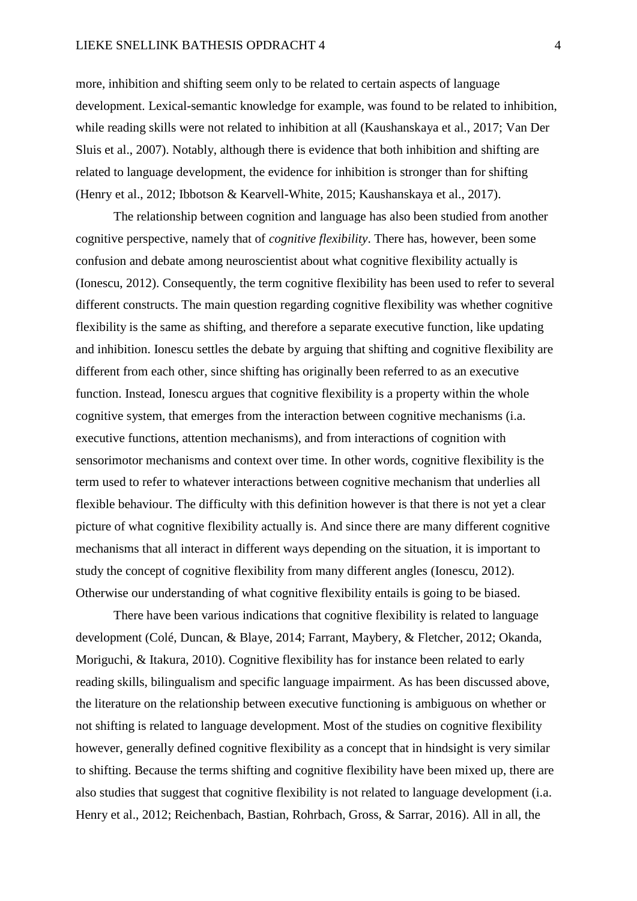more, inhibition and shifting seem only to be related to certain aspects of language development. Lexical-semantic knowledge for example, was found to be related to inhibition, while reading skills were not related to inhibition at all (Kaushanskaya et al., 2017; Van Der Sluis et al., 2007). Notably, although there is evidence that both inhibition and shifting are related to language development, the evidence for inhibition is stronger than for shifting (Henry et al., 2012; Ibbotson & Kearvell-White, 2015; Kaushanskaya et al., 2017).

The relationship between cognition and language has also been studied from another cognitive perspective, namely that of *cognitive flexibility*. There has, however, been some confusion and debate among neuroscientist about what cognitive flexibility actually is (Ionescu, 2012). Consequently, the term cognitive flexibility has been used to refer to several different constructs. The main question regarding cognitive flexibility was whether cognitive flexibility is the same as shifting, and therefore a separate executive function, like updating and inhibition. Ionescu settles the debate by arguing that shifting and cognitive flexibility are different from each other, since shifting has originally been referred to as an executive function. Instead, Ionescu argues that cognitive flexibility is a property within the whole cognitive system, that emerges from the interaction between cognitive mechanisms (i.a. executive functions, attention mechanisms), and from interactions of cognition with sensorimotor mechanisms and context over time. In other words, cognitive flexibility is the term used to refer to whatever interactions between cognitive mechanism that underlies all flexible behaviour. The difficulty with this definition however is that there is not yet a clear picture of what cognitive flexibility actually is. And since there are many different cognitive mechanisms that all interact in different ways depending on the situation, it is important to study the concept of cognitive flexibility from many different angles (Ionescu, 2012). Otherwise our understanding of what cognitive flexibility entails is going to be biased.

There have been various indications that cognitive flexibility is related to language development (Colé, Duncan, & Blaye, 2014; Farrant, Maybery, & Fletcher, 2012; Okanda, Moriguchi, & Itakura, 2010). Cognitive flexibility has for instance been related to early reading skills, bilingualism and specific language impairment. As has been discussed above, the literature on the relationship between executive functioning is ambiguous on whether or not shifting is related to language development. Most of the studies on cognitive flexibility however, generally defined cognitive flexibility as a concept that in hindsight is very similar to shifting. Because the terms shifting and cognitive flexibility have been mixed up, there are also studies that suggest that cognitive flexibility is not related to language development (i.a. Henry et al., 2012; Reichenbach, Bastian, Rohrbach, Gross, & Sarrar, 2016). All in all, the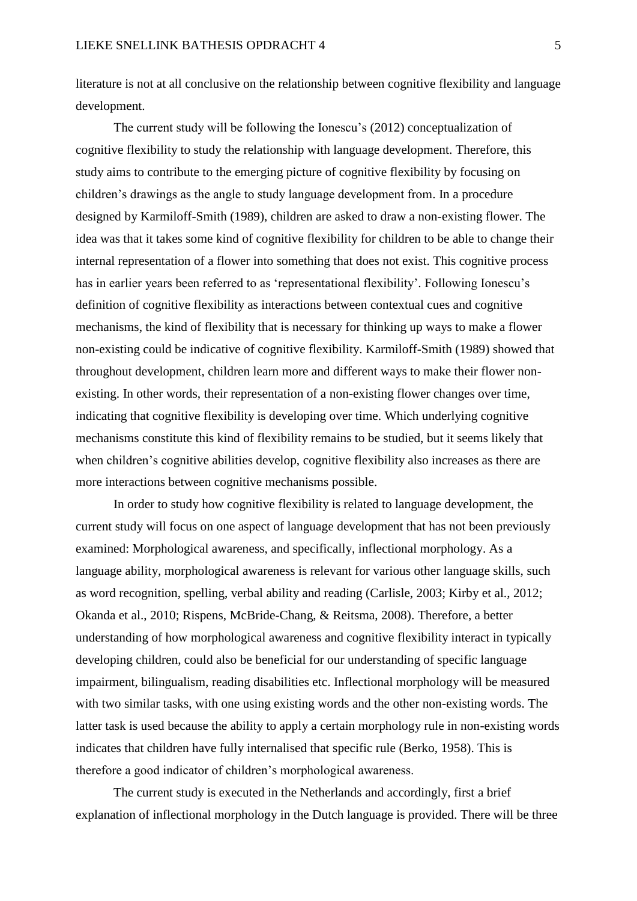literature is not at all conclusive on the relationship between cognitive flexibility and language development.

The current study will be following the Ionescu's (2012) conceptualization of cognitive flexibility to study the relationship with language development. Therefore, this study aims to contribute to the emerging picture of cognitive flexibility by focusing on children's drawings as the angle to study language development from. In a procedure designed by Karmiloff-Smith (1989), children are asked to draw a non-existing flower. The idea was that it takes some kind of cognitive flexibility for children to be able to change their internal representation of a flower into something that does not exist. This cognitive process has in earlier years been referred to as 'representational flexibility'. Following Ionescu's definition of cognitive flexibility as interactions between contextual cues and cognitive mechanisms, the kind of flexibility that is necessary for thinking up ways to make a flower non-existing could be indicative of cognitive flexibility. Karmiloff-Smith (1989) showed that throughout development, children learn more and different ways to make their flower nonexisting. In other words, their representation of a non-existing flower changes over time, indicating that cognitive flexibility is developing over time. Which underlying cognitive mechanisms constitute this kind of flexibility remains to be studied, but it seems likely that when children's cognitive abilities develop, cognitive flexibility also increases as there are more interactions between cognitive mechanisms possible.

In order to study how cognitive flexibility is related to language development, the current study will focus on one aspect of language development that has not been previously examined: Morphological awareness, and specifically, inflectional morphology. As a language ability, morphological awareness is relevant for various other language skills, such as word recognition, spelling, verbal ability and reading (Carlisle, 2003; Kirby et al., 2012; Okanda et al., 2010; Rispens, McBride-Chang, & Reitsma, 2008). Therefore, a better understanding of how morphological awareness and cognitive flexibility interact in typically developing children, could also be beneficial for our understanding of specific language impairment, bilingualism, reading disabilities etc. Inflectional morphology will be measured with two similar tasks, with one using existing words and the other non-existing words. The latter task is used because the ability to apply a certain morphology rule in non-existing words indicates that children have fully internalised that specific rule (Berko, 1958). This is therefore a good indicator of children's morphological awareness.

The current study is executed in the Netherlands and accordingly, first a brief explanation of inflectional morphology in the Dutch language is provided. There will be three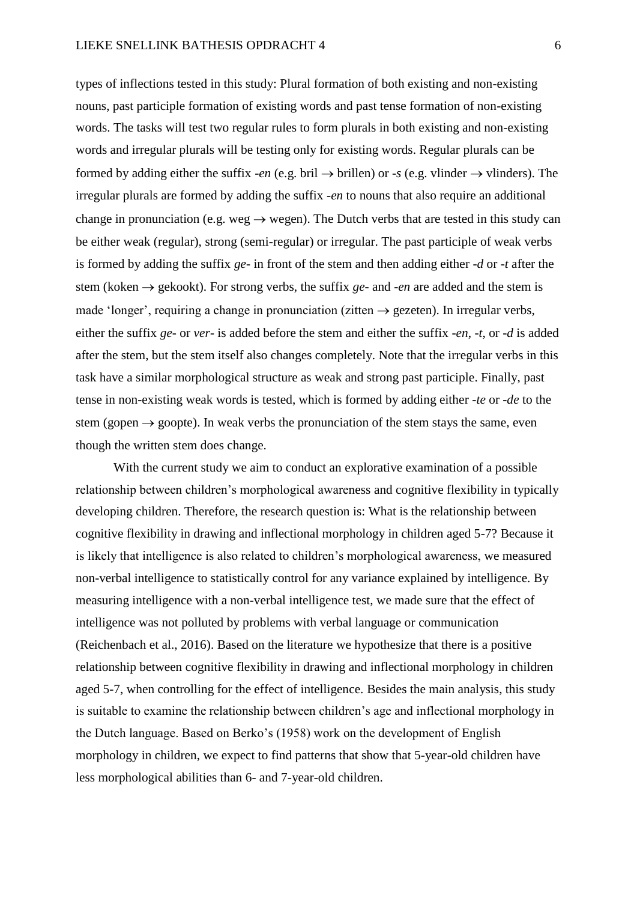types of inflections tested in this study: Plural formation of both existing and non-existing nouns, past participle formation of existing words and past tense formation of non-existing words. The tasks will test two regular rules to form plurals in both existing and non-existing words and irregular plurals will be testing only for existing words. Regular plurals can be formed by adding either the suffix *-en* (e.g. bril  $\rightarrow$  brillen) or *-s* (e.g. vlinder  $\rightarrow$  vlinders). The irregular plurals are formed by adding the suffix *-en* to nouns that also require an additional change in pronunciation (e.g. weg  $\rightarrow$  wegen). The Dutch verbs that are tested in this study can be either weak (regular), strong (semi-regular) or irregular. The past participle of weak verbs is formed by adding the suffix *ge-* in front of the stem and then adding either *-d* or *-t* after the stem (koken → gekookt). For strong verbs, the suffix *ge-* and *-en* are added and the stem is made 'longer', requiring a change in pronunciation (zitten  $\rightarrow$  gezeten). In irregular verbs, either the suffix *ge*- or *ver*- is added before the stem and either the suffix -*en*, -*t*, or -*d* is added after the stem, but the stem itself also changes completely. Note that the irregular verbs in this task have a similar morphological structure as weak and strong past participle. Finally, past tense in non-existing weak words is tested, which is formed by adding either -*te* or -*de* to the stem (gopen  $\rightarrow$  goopte). In weak verbs the pronunciation of the stem stays the same, even though the written stem does change.

With the current study we aim to conduct an explorative examination of a possible relationship between children's morphological awareness and cognitive flexibility in typically developing children. Therefore, the research question is: What is the relationship between cognitive flexibility in drawing and inflectional morphology in children aged 5-7? Because it is likely that intelligence is also related to children's morphological awareness, we measured non-verbal intelligence to statistically control for any variance explained by intelligence. By measuring intelligence with a non-verbal intelligence test, we made sure that the effect of intelligence was not polluted by problems with verbal language or communication (Reichenbach et al., 2016). Based on the literature we hypothesize that there is a positive relationship between cognitive flexibility in drawing and inflectional morphology in children aged 5-7, when controlling for the effect of intelligence. Besides the main analysis, this study is suitable to examine the relationship between children's age and inflectional morphology in the Dutch language. Based on Berko's (1958) work on the development of English morphology in children, we expect to find patterns that show that 5-year-old children have less morphological abilities than 6- and 7-year-old children.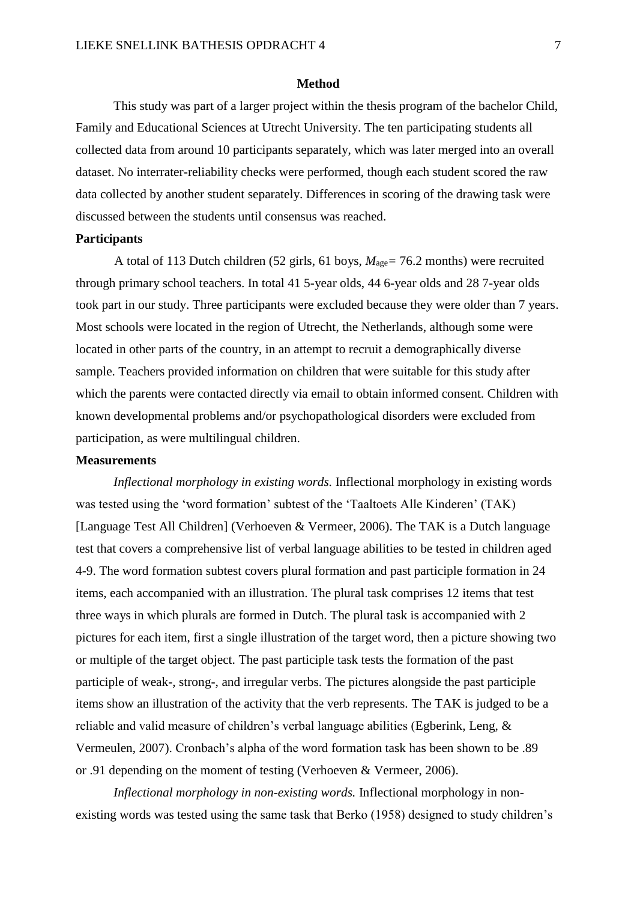### **Method**

This study was part of a larger project within the thesis program of the bachelor Child, Family and Educational Sciences at Utrecht University. The ten participating students all collected data from around 10 participants separately, which was later merged into an overall dataset. No interrater-reliability checks were performed, though each student scored the raw data collected by another student separately. Differences in scoring of the drawing task were discussed between the students until consensus was reached.

### **Participants**

A total of 113 Dutch children (52 girls, 61 boys, *M*age*=* 76.2 months) were recruited through primary school teachers. In total 41 5-year olds, 44 6-year olds and 28 7-year olds took part in our study. Three participants were excluded because they were older than 7 years. Most schools were located in the region of Utrecht, the Netherlands, although some were located in other parts of the country, in an attempt to recruit a demographically diverse sample. Teachers provided information on children that were suitable for this study after which the parents were contacted directly via email to obtain informed consent. Children with known developmental problems and/or psychopathological disorders were excluded from participation, as were multilingual children.

## **Measurements**

*Inflectional morphology in existing words.* Inflectional morphology in existing words was tested using the 'word formation' subtest of the 'Taaltoets Alle Kinderen' (TAK) [Language Test All Children] (Verhoeven & Vermeer, 2006). The TAK is a Dutch language test that covers a comprehensive list of verbal language abilities to be tested in children aged 4-9. The word formation subtest covers plural formation and past participle formation in 24 items, each accompanied with an illustration. The plural task comprises 12 items that test three ways in which plurals are formed in Dutch. The plural task is accompanied with 2 pictures for each item, first a single illustration of the target word, then a picture showing two or multiple of the target object. The past participle task tests the formation of the past participle of weak-, strong-, and irregular verbs. The pictures alongside the past participle items show an illustration of the activity that the verb represents. The TAK is judged to be a reliable and valid measure of children's verbal language abilities (Egberink, Leng, & Vermeulen, 2007). Cronbach's alpha of the word formation task has been shown to be .89 or .91 depending on the moment of testing (Verhoeven & Vermeer, 2006).

*Inflectional morphology in non-existing words.* Inflectional morphology in nonexisting words was tested using the same task that Berko (1958) designed to study children's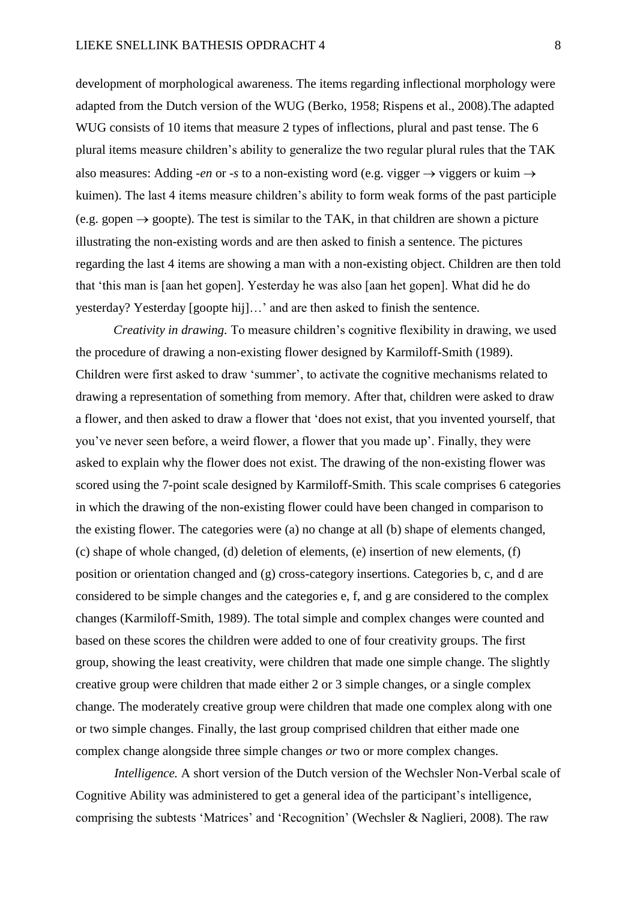development of morphological awareness. The items regarding inflectional morphology were adapted from the Dutch version of the WUG (Berko, 1958; Rispens et al., 2008).The adapted WUG consists of 10 items that measure 2 types of inflections, plural and past tense. The 6 plural items measure children's ability to generalize the two regular plural rules that the TAK also measures: Adding *-en* or -*s* to a non-existing word (e.g. vigger  $\rightarrow$  viggers or kuim  $\rightarrow$ kuimen). The last 4 items measure children's ability to form weak forms of the past participle (e.g. gopen  $\rightarrow$  goopte). The test is similar to the TAK, in that children are shown a picture illustrating the non-existing words and are then asked to finish a sentence. The pictures regarding the last 4 items are showing a man with a non-existing object. Children are then told that 'this man is [aan het gopen]. Yesterday he was also [aan het gopen]. What did he do yesterday? Yesterday [goopte hij]…' and are then asked to finish the sentence.

*Creativity in drawing.* To measure children's cognitive flexibility in drawing, we used the procedure of drawing a non-existing flower designed by Karmiloff-Smith (1989). Children were first asked to draw 'summer', to activate the cognitive mechanisms related to drawing a representation of something from memory. After that, children were asked to draw a flower, and then asked to draw a flower that 'does not exist, that you invented yourself, that you've never seen before, a weird flower, a flower that you made up'. Finally, they were asked to explain why the flower does not exist. The drawing of the non-existing flower was scored using the 7-point scale designed by Karmiloff-Smith. This scale comprises 6 categories in which the drawing of the non-existing flower could have been changed in comparison to the existing flower. The categories were (a) no change at all (b) shape of elements changed, (c) shape of whole changed, (d) deletion of elements, (e) insertion of new elements, (f) position or orientation changed and (g) cross-category insertions. Categories b, c, and d are considered to be simple changes and the categories e, f, and g are considered to the complex changes (Karmiloff-Smith, 1989). The total simple and complex changes were counted and based on these scores the children were added to one of four creativity groups. The first group, showing the least creativity, were children that made one simple change. The slightly creative group were children that made either 2 or 3 simple changes, or a single complex change. The moderately creative group were children that made one complex along with one or two simple changes. Finally, the last group comprised children that either made one complex change alongside three simple changes *or* two or more complex changes.

*Intelligence.* A short version of the Dutch version of the Wechsler Non-Verbal scale of Cognitive Ability was administered to get a general idea of the participant's intelligence, comprising the subtests 'Matrices' and 'Recognition' (Wechsler & Naglieri, 2008). The raw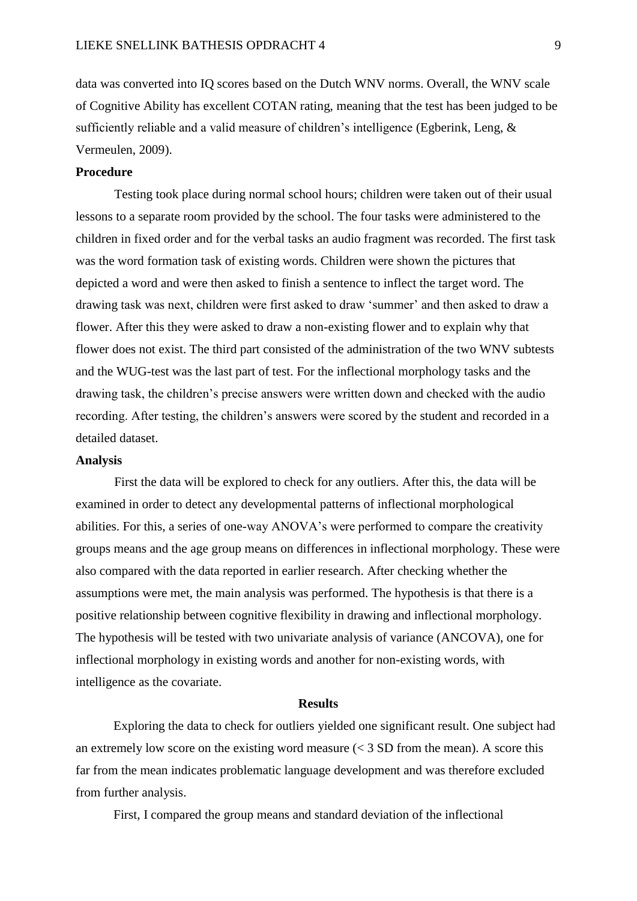data was converted into IQ scores based on the Dutch WNV norms. Overall, the WNV scale of Cognitive Ability has excellent COTAN rating, meaning that the test has been judged to be sufficiently reliable and a valid measure of children's intelligence (Egberink, Leng, & Vermeulen, 2009).

# **Procedure**

Testing took place during normal school hours; children were taken out of their usual lessons to a separate room provided by the school. The four tasks were administered to the children in fixed order and for the verbal tasks an audio fragment was recorded. The first task was the word formation task of existing words. Children were shown the pictures that depicted a word and were then asked to finish a sentence to inflect the target word. The drawing task was next, children were first asked to draw 'summer' and then asked to draw a flower. After this they were asked to draw a non-existing flower and to explain why that flower does not exist. The third part consisted of the administration of the two WNV subtests and the WUG-test was the last part of test. For the inflectional morphology tasks and the drawing task, the children's precise answers were written down and checked with the audio recording. After testing, the children's answers were scored by the student and recorded in a detailed dataset.

#### **Analysis**

First the data will be explored to check for any outliers. After this, the data will be examined in order to detect any developmental patterns of inflectional morphological abilities. For this, a series of one-way ANOVA's were performed to compare the creativity groups means and the age group means on differences in inflectional morphology. These were also compared with the data reported in earlier research. After checking whether the assumptions were met, the main analysis was performed. The hypothesis is that there is a positive relationship between cognitive flexibility in drawing and inflectional morphology. The hypothesis will be tested with two univariate analysis of variance (ANCOVA), one for inflectional morphology in existing words and another for non-existing words, with intelligence as the covariate.

# **Results**

Exploring the data to check for outliers yielded one significant result. One subject had an extremely low score on the existing word measure  $(< 3 SD$  from the mean). A score this far from the mean indicates problematic language development and was therefore excluded from further analysis.

First, I compared the group means and standard deviation of the inflectional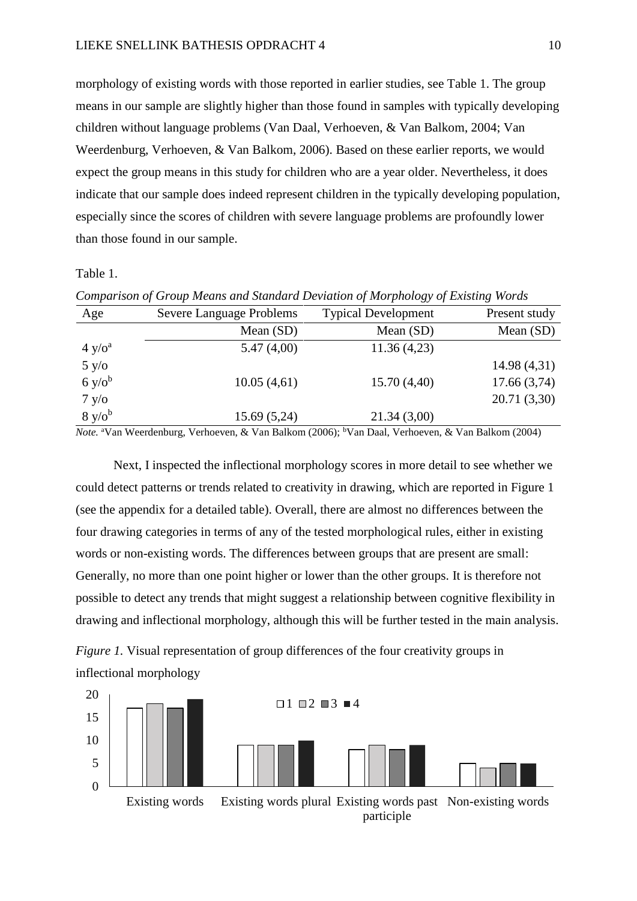morphology of existing words with those reported in earlier studies, see Table 1. The group means in our sample are slightly higher than those found in samples with typically developing children without language problems (Van Daal, Verhoeven, & Van Balkom, 2004; Van Weerdenburg, Verhoeven, & Van Balkom, 2006). Based on these earlier reports, we would expect the group means in this study for children who are a year older. Nevertheless, it does indicate that our sample does indeed represent children in the typically developing population, especially since the scores of children with severe language problems are profoundly lower than those found in our sample.

Table 1.

| Comparison of Group means and Biandard Deriation of morphology of Existing words |                          |                            |               |  |  |  |  |
|----------------------------------------------------------------------------------|--------------------------|----------------------------|---------------|--|--|--|--|
| Age                                                                              | Severe Language Problems | <b>Typical Development</b> | Present study |  |  |  |  |
|                                                                                  | Mean $(SD)$              | Mean $(SD)$                | Mean (SD)     |  |  |  |  |
| 4 y/o <sup>a</sup>                                                               | 5.47(4,00)               | 11.36(4,23)                |               |  |  |  |  |
| 5 y/o                                                                            |                          |                            | 14.98(4,31)   |  |  |  |  |
| 6 y/o <sup>b</sup>                                                               | 10.05(4,61)              | 15.70(4,40)                | 17.66(3,74)   |  |  |  |  |
| 7 y/o                                                                            |                          |                            | 20.71 (3,30)  |  |  |  |  |
| $8 \text{ y/o}^b$                                                                | 15.69(5,24)              | 21.34(3,00)                |               |  |  |  |  |

*Note.* <sup>a</sup>Van Weerdenburg, Verhoeven, & Van Balkom (2006); <sup>b</sup>Van Daal, Verhoeven, & Van Balkom (2004)

Next, I inspected the inflectional morphology scores in more detail to see whether we could detect patterns or trends related to creativity in drawing, which are reported in Figure 1 (see the appendix for a detailed table). Overall, there are almost no differences between the four drawing categories in terms of any of the tested morphological rules, either in existing words or non-existing words. The differences between groups that are present are small: Generally, no more than one point higher or lower than the other groups. It is therefore not possible to detect any trends that might suggest a relationship between cognitive flexibility in drawing and inflectional morphology, although this will be further tested in the main analysis.



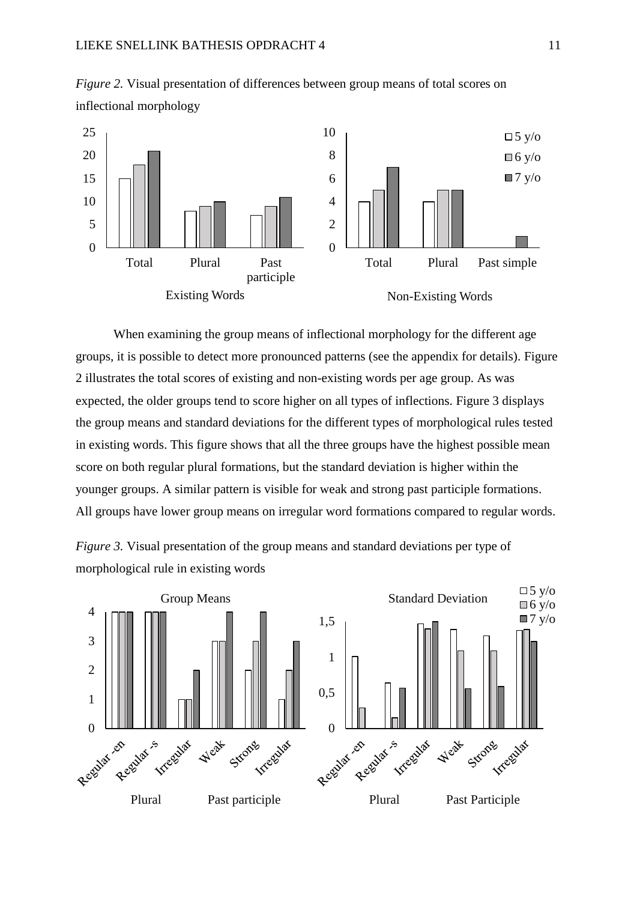

*Figure 2.* Visual presentation of differences between group means of total scores on inflectional morphology

When examining the group means of inflectional morphology for the different age groups, it is possible to detect more pronounced patterns (see the appendix for details). Figure 2 illustrates the total scores of existing and non-existing words per age group. As was expected, the older groups tend to score higher on all types of inflections. Figure 3 displays the group means and standard deviations for the different types of morphological rules tested in existing words. This figure shows that all the three groups have the highest possible mean score on both regular plural formations, but the standard deviation is higher within the younger groups. A similar pattern is visible for weak and strong past participle formations. All groups have lower group means on irregular word formations compared to regular words.



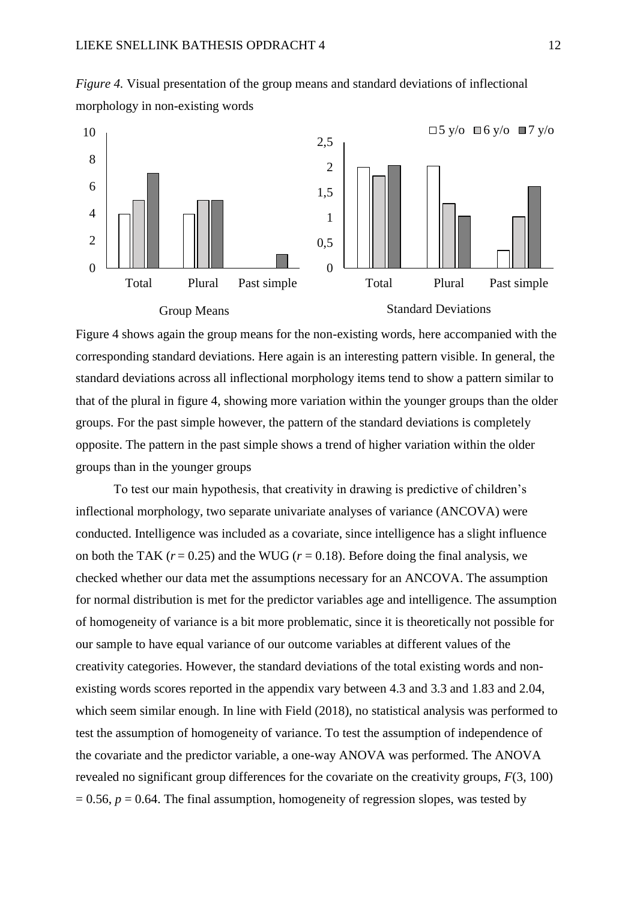

*Figure 4.* Visual presentation of the group means and standard deviations of inflectional morphology in non-existing words



Standard Deviations

Figure 4 shows again the group means for the non-existing words, here accompanied with the corresponding standard deviations. Here again is an interesting pattern visible. In general, the standard deviations across all inflectional morphology items tend to show a pattern similar to that of the plural in figure 4, showing more variation within the younger groups than the older groups. For the past simple however, the pattern of the standard deviations is completely opposite. The pattern in the past simple shows a trend of higher variation within the older groups than in the younger groups

To test our main hypothesis, that creativity in drawing is predictive of children's inflectional morphology, two separate univariate analyses of variance (ANCOVA) were conducted. Intelligence was included as a covariate, since intelligence has a slight influence on both the TAK  $(r = 0.25)$  and the WUG  $(r = 0.18)$ . Before doing the final analysis, we checked whether our data met the assumptions necessary for an ANCOVA. The assumption for normal distribution is met for the predictor variables age and intelligence. The assumption of homogeneity of variance is a bit more problematic, since it is theoretically not possible for our sample to have equal variance of our outcome variables at different values of the creativity categories. However, the standard deviations of the total existing words and nonexisting words scores reported in the appendix vary between 4.3 and 3.3 and 1.83 and 2.04, which seem similar enough. In line with Field (2018), no statistical analysis was performed to test the assumption of homogeneity of variance. To test the assumption of independence of the covariate and the predictor variable, a one-way ANOVA was performed. The ANOVA revealed no significant group differences for the covariate on the creativity groups, *F*(3, 100)  $= 0.56$ ,  $p = 0.64$ . The final assumption, homogeneity of regression slopes, was tested by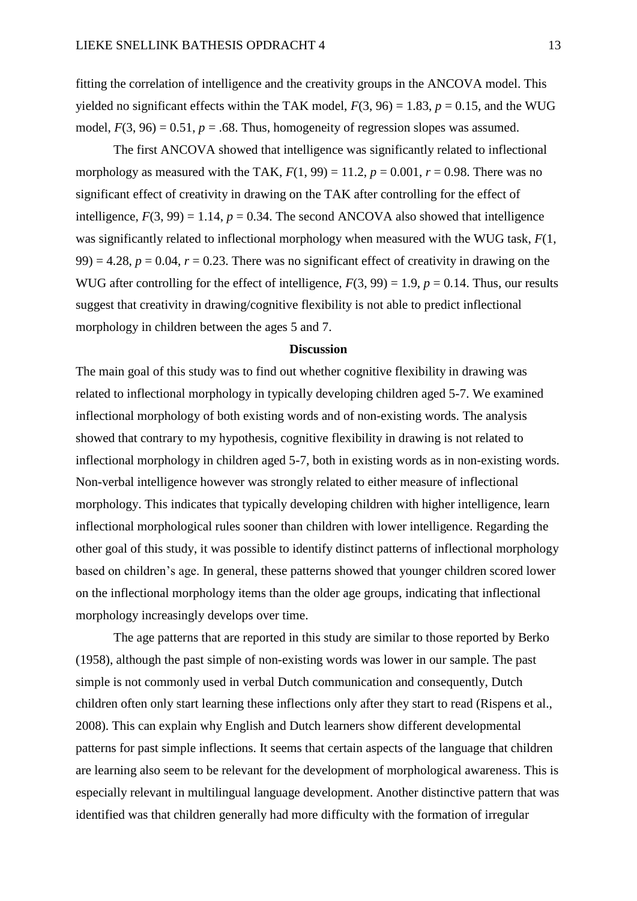fitting the correlation of intelligence and the creativity groups in the ANCOVA model. This yielded no significant effects within the TAK model,  $F(3, 96) = 1.83$ ,  $p = 0.15$ , and the WUG model,  $F(3, 96) = 0.51$ ,  $p = .68$ . Thus, homogeneity of regression slopes was assumed.

The first ANCOVA showed that intelligence was significantly related to inflectional morphology as measured with the TAK,  $F(1, 99) = 11.2$ ,  $p = 0.001$ ,  $r = 0.98$ . There was no significant effect of creativity in drawing on the TAK after controlling for the effect of intelligence,  $F(3, 99) = 1.14$ ,  $p = 0.34$ . The second ANCOVA also showed that intelligence was significantly related to inflectional morphology when measured with the WUG task, *F*(1, 99) = 4.28,  $p = 0.04$ ,  $r = 0.23$ . There was no significant effect of creativity in drawing on the WUG after controlling for the effect of intelligence,  $F(3, 99) = 1.9$ ,  $p = 0.14$ . Thus, our results suggest that creativity in drawing/cognitive flexibility is not able to predict inflectional morphology in children between the ages 5 and 7.

## **Discussion**

The main goal of this study was to find out whether cognitive flexibility in drawing was related to inflectional morphology in typically developing children aged 5-7. We examined inflectional morphology of both existing words and of non-existing words. The analysis showed that contrary to my hypothesis, cognitive flexibility in drawing is not related to inflectional morphology in children aged 5-7, both in existing words as in non-existing words. Non-verbal intelligence however was strongly related to either measure of inflectional morphology. This indicates that typically developing children with higher intelligence, learn inflectional morphological rules sooner than children with lower intelligence. Regarding the other goal of this study, it was possible to identify distinct patterns of inflectional morphology based on children's age. In general, these patterns showed that younger children scored lower on the inflectional morphology items than the older age groups, indicating that inflectional morphology increasingly develops over time.

The age patterns that are reported in this study are similar to those reported by Berko (1958), although the past simple of non-existing words was lower in our sample. The past simple is not commonly used in verbal Dutch communication and consequently, Dutch children often only start learning these inflections only after they start to read (Rispens et al., 2008). This can explain why English and Dutch learners show different developmental patterns for past simple inflections. It seems that certain aspects of the language that children are learning also seem to be relevant for the development of morphological awareness. This is especially relevant in multilingual language development. Another distinctive pattern that was identified was that children generally had more difficulty with the formation of irregular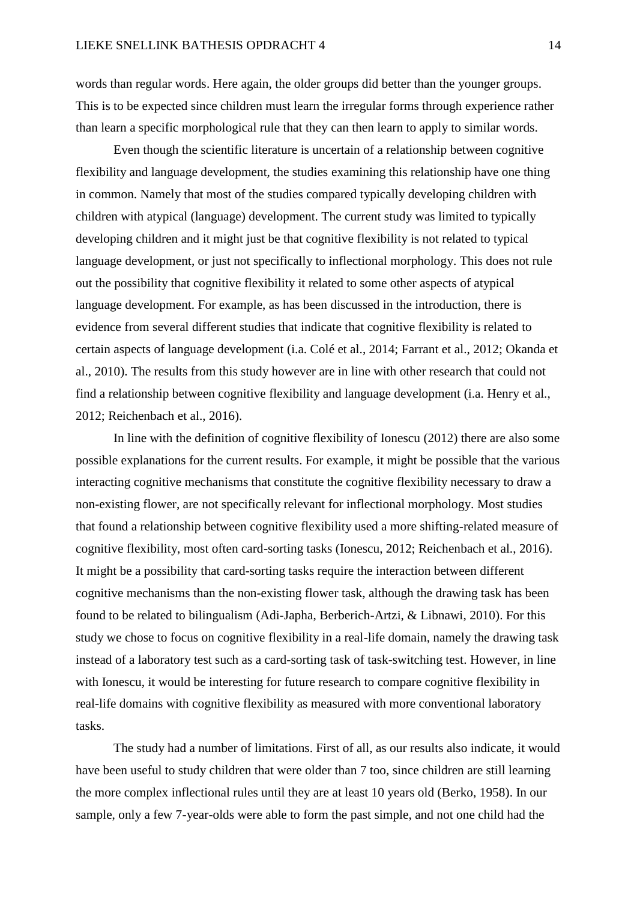words than regular words. Here again, the older groups did better than the younger groups. This is to be expected since children must learn the irregular forms through experience rather than learn a specific morphological rule that they can then learn to apply to similar words.

Even though the scientific literature is uncertain of a relationship between cognitive flexibility and language development, the studies examining this relationship have one thing in common. Namely that most of the studies compared typically developing children with children with atypical (language) development. The current study was limited to typically developing children and it might just be that cognitive flexibility is not related to typical language development, or just not specifically to inflectional morphology. This does not rule out the possibility that cognitive flexibility it related to some other aspects of atypical language development. For example, as has been discussed in the introduction, there is evidence from several different studies that indicate that cognitive flexibility is related to certain aspects of language development (i.a. Colé et al., 2014; Farrant et al., 2012; Okanda et al., 2010). The results from this study however are in line with other research that could not find a relationship between cognitive flexibility and language development (i.a. Henry et al., 2012; Reichenbach et al., 2016).

In line with the definition of cognitive flexibility of Ionescu (2012) there are also some possible explanations for the current results. For example, it might be possible that the various interacting cognitive mechanisms that constitute the cognitive flexibility necessary to draw a non-existing flower, are not specifically relevant for inflectional morphology. Most studies that found a relationship between cognitive flexibility used a more shifting-related measure of cognitive flexibility, most often card-sorting tasks (Ionescu, 2012; Reichenbach et al., 2016). It might be a possibility that card-sorting tasks require the interaction between different cognitive mechanisms than the non-existing flower task, although the drawing task has been found to be related to bilingualism (Adi-Japha, Berberich-Artzi, & Libnawi, 2010). For this study we chose to focus on cognitive flexibility in a real-life domain, namely the drawing task instead of a laboratory test such as a card-sorting task of task-switching test. However, in line with Ionescu, it would be interesting for future research to compare cognitive flexibility in real-life domains with cognitive flexibility as measured with more conventional laboratory tasks.

The study had a number of limitations. First of all, as our results also indicate, it would have been useful to study children that were older than 7 too, since children are still learning the more complex inflectional rules until they are at least 10 years old (Berko, 1958). In our sample, only a few 7-year-olds were able to form the past simple, and not one child had the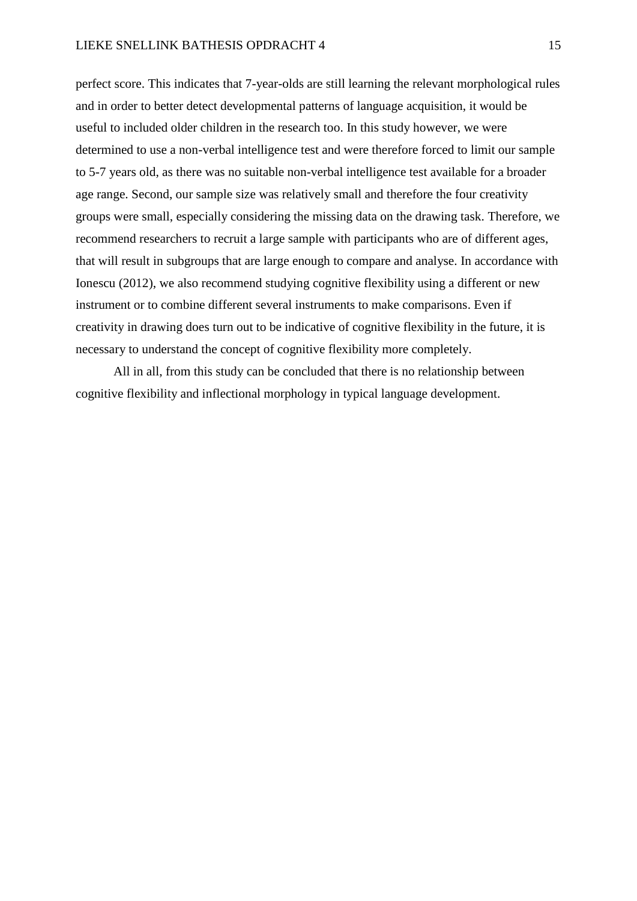perfect score. This indicates that 7-year-olds are still learning the relevant morphological rules and in order to better detect developmental patterns of language acquisition, it would be useful to included older children in the research too. In this study however, we were determined to use a non-verbal intelligence test and were therefore forced to limit our sample to 5-7 years old, as there was no suitable non-verbal intelligence test available for a broader age range. Second, our sample size was relatively small and therefore the four creativity groups were small, especially considering the missing data on the drawing task. Therefore, we recommend researchers to recruit a large sample with participants who are of different ages, that will result in subgroups that are large enough to compare and analyse. In accordance with Ionescu (2012), we also recommend studying cognitive flexibility using a different or new instrument or to combine different several instruments to make comparisons. Even if creativity in drawing does turn out to be indicative of cognitive flexibility in the future, it is necessary to understand the concept of cognitive flexibility more completely.

All in all, from this study can be concluded that there is no relationship between cognitive flexibility and inflectional morphology in typical language development.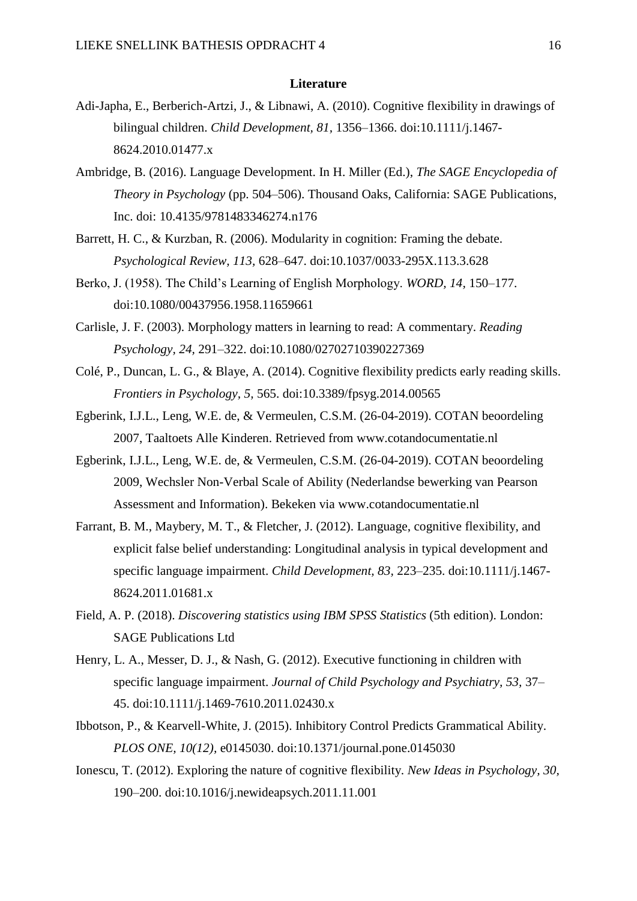## **Literature**

- Adi-Japha, E., Berberich-Artzi, J., & Libnawi, A. (2010). Cognitive flexibility in drawings of bilingual children. *Child Development, 81,* 1356–1366. doi:10.1111/j.1467- 8624.2010.01477.x
- Ambridge, B. (2016). Language Development. In H. Miller (Ed.), *The SAGE Encyclopedia of Theory in Psychology* (pp. 504–506). Thousand Oaks, California: SAGE Publications, Inc. doi: 10.4135/9781483346274.n176
- Barrett, H. C., & Kurzban, R. (2006). Modularity in cognition: Framing the debate. *Psychological Review, 113,* 628–647. doi:10.1037/0033-295X.113.3.628
- Berko, J. (1958). The Child's Learning of English Morphology. *WORD, 14,* 150–177. doi:10.1080/00437956.1958.11659661
- Carlisle, J. F. (2003). Morphology matters in learning to read: A commentary. *Reading Psychology, 24,* 291–322. doi:10.1080/02702710390227369
- Colé, P., Duncan, L. G., & Blaye, A. (2014). Cognitive flexibility predicts early reading skills. *Frontiers in Psychology, 5,* 565. doi:10.3389/fpsyg.2014.00565
- Egberink, I.J.L., Leng, W.E. de, & Vermeulen, C.S.M. (26-04-2019). COTAN beoordeling 2007, Taaltoets Alle Kinderen. Retrieved from www.cotandocumentatie.nl
- Egberink, I.J.L., Leng, W.E. de, & Vermeulen, C.S.M. (26-04-2019). COTAN beoordeling 2009, Wechsler Non-Verbal Scale of Ability (Nederlandse bewerking van Pearson Assessment and Information). Bekeken via www.cotandocumentatie.nl
- Farrant, B. M., Maybery, M. T., & Fletcher, J. (2012). Language, cognitive flexibility, and explicit false belief understanding: Longitudinal analysis in typical development and specific language impairment. *Child Development, 83,* 223–235. doi:10.1111/j.1467- 8624.2011.01681.x
- Field, A. P. (2018). *Discovering statistics using IBM SPSS Statistics* (5th edition). London: SAGE Publications Ltd
- Henry, L. A., Messer, D. J., & Nash, G. (2012). Executive functioning in children with specific language impairment. *Journal of Child Psychology and Psychiatry, 53,* 37– 45. doi:10.1111/j.1469-7610.2011.02430.x
- Ibbotson, P., & Kearvell-White, J. (2015). Inhibitory Control Predicts Grammatical Ability. *PLOS ONE, 10(12),* e0145030. doi:10.1371/journal.pone.0145030
- Ionescu, T. (2012). Exploring the nature of cognitive flexibility. *New Ideas in Psychology, 30,* 190–200. doi:10.1016/j.newideapsych.2011.11.001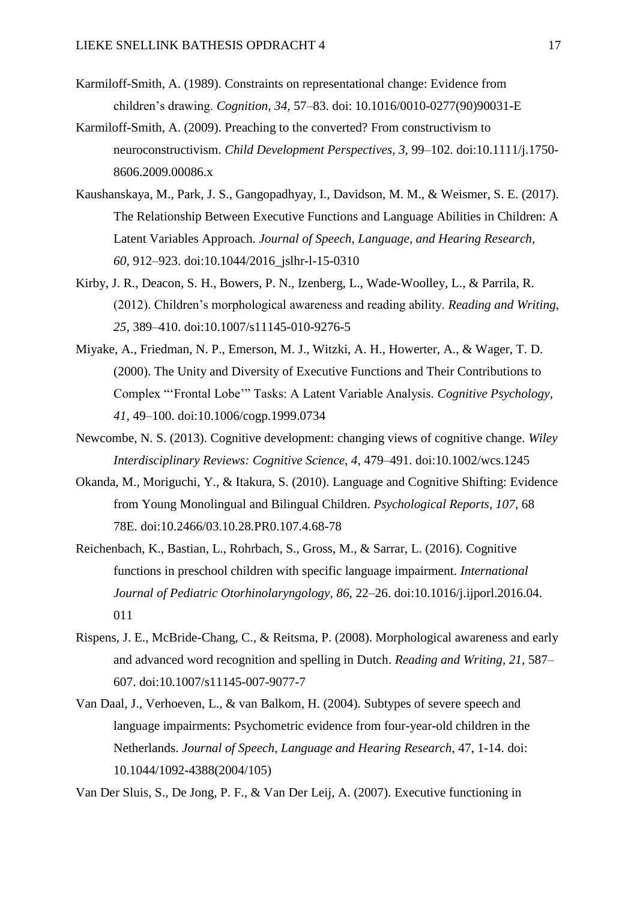- Karmiloff-Smith, A. (1989). Constraints on representational change: Evidence from children's drawing. *Cognition, 34,* 57–83. doi: 10.1016/0010-0277(90)90031-E
- Karmiloff-Smith, A. (2009). Preaching to the converted? From constructivism to neuroconstructivism. *Child Development Perspectives, 3,* 99–102. doi:10.1111/j.1750- 8606.2009.00086.x
- Kaushanskaya, M., Park, J. S., Gangopadhyay, I., Davidson, M. M., & Weismer, S. E. (2017). The Relationship Between Executive Functions and Language Abilities in Children: A Latent Variables Approach. *Journal of Speech, Language, and Hearing Research, 60,* 912–923. doi:10.1044/2016\_jslhr-l-15-0310
- Kirby, J. R., Deacon, S. H., Bowers, P. N., Izenberg, L., Wade-Woolley, L., & Parrila, R. (2012). Children's morphological awareness and reading ability. *Reading and Writing, 25,* 389–410. doi:10.1007/s11145-010-9276-5
- Miyake, A., Friedman, N. P., Emerson, M. J., Witzki, A. H., Howerter, A., & Wager, T. D. (2000). The Unity and Diversity of Executive Functions and Their Contributions to Complex "'Frontal Lobe'" Tasks: A Latent Variable Analysis. *Cognitive Psychology, 41,* 49–100. doi:10.1006/cogp.1999.0734
- Newcombe, N. S. (2013). Cognitive development: changing views of cognitive change. *Wiley Interdisciplinary Reviews: Cognitive Science, 4,* 479–491. doi:10.1002/wcs.1245
- Okanda, M., Moriguchi, Y., & Itakura, S. (2010). Language and Cognitive Shifting: Evidence from Young Monolingual and Bilingual Children. *Psychological Reports, 107,* 68 78E. doi:10.2466/03.10.28.PR0.107.4.68-78
- Reichenbach, K., Bastian, L., Rohrbach, S., Gross, M., & Sarrar, L. (2016). Cognitive functions in preschool children with specific language impairment. *International Journal of Pediatric Otorhinolaryngology, 86,* 22–26. doi:10.1016/j.ijporl.2016.04. 011
- Rispens, J. E., McBride-Chang, C., & Reitsma, P. (2008). Morphological awareness and early and advanced word recognition and spelling in Dutch. *Reading and Writing, 21,* 587– 607. doi:10.1007/s11145-007-9077-7
- Van Daal, J., Verhoeven, L., & van Balkom, H. (2004). Subtypes of severe speech and language impairments: Psychometric evidence from four-year-old children in the Netherlands. *Journal of Speech, Language and Hearing Research*, 47, 1-14. doi: 10.1044/1092-4388(2004/105)

Van Der Sluis, S., De Jong, P. F., & Van Der Leij, A. (2007). Executive functioning in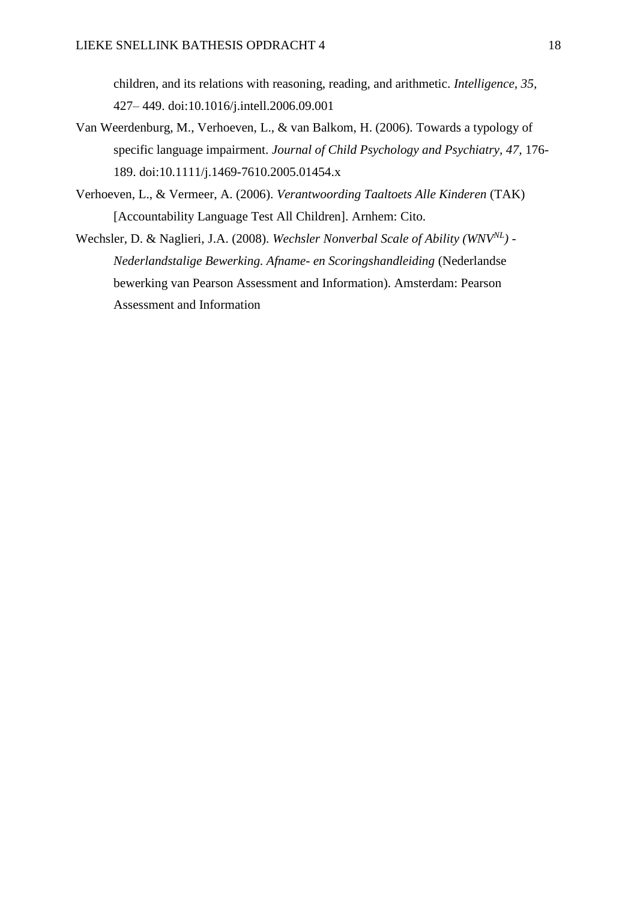children, and its relations with reasoning, reading, and arithmetic. *Intelligence, 35,* 427– 449. doi:10.1016/j.intell.2006.09.001

- Van Weerdenburg, M., Verhoeven, L., & van Balkom, H. (2006). Towards a typology of specific language impairment. *Journal of Child Psychology and Psychiatry, 47,* 176- 189. doi:10.1111/j.1469-7610.2005.01454.x
- Verhoeven, L., & Vermeer, A. (2006). *Verantwoording Taaltoets Alle Kinderen* (TAK) [Accountability Language Test All Children]. Arnhem: Cito.
- Wechsler, D. & Naglieri, J.A. (2008). *Wechsler Nonverbal Scale of Ability (WNVNL) - Nederlandstalige Bewerking. Afname- en Scoringshandleiding* (Nederlandse bewerking van Pearson Assessment and Information). Amsterdam: Pearson Assessment and Information